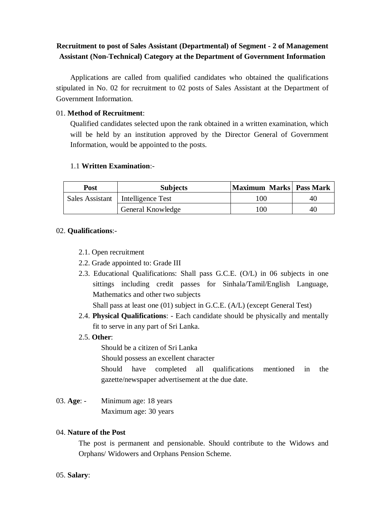## **Recruitment to post of Sales Assistant (Departmental) of Segment - 2 of Management Assistant (Non-Technical) Category at the Department of Government Information**

Applications are called from qualified candidates who obtained the qualifications stipulated in No. 02 for recruitment to 02 posts of Sales Assistant at the Department of Government Information.

### 01. **Method of Recruitment**:

Qualified candidates selected upon the rank obtained in a written examination, which will be held by an institution approved by the Director General of Government Information, would be appointed to the posts.

### 1.1 **Written Examination**:-

| Post | <b>Subjects</b>                     | Maximum Marks Pass Mark |    |
|------|-------------------------------------|-------------------------|----|
|      | Sales Assistant   Intelligence Test | 100                     | 40 |
|      | General Knowledge                   | 100                     | 40 |

### 02. **Qualifications**:-

- 2.1. Open recruitment
- 2.2. Grade appointed to: Grade III
- 2.3. Educational Qualifications: Shall pass G.C.E. (O/L) in 06 subjects in one sittings including credit passes for Sinhala/Tamil/English Language, Mathematics and other two subjects

Shall pass at least one (01) subject in G.C.E. (A/L) (except General Test)

- 2.4. **Physical Qualifications**: Each candidate should be physically and mentally fit to serve in any part of Sri Lanka.
- 2.5. **Other**:

Should be a citizen of Sri Lanka

Should possess an excellent character

Should have completed all qualifications mentioned in the gazette/newspaper advertisement at the due date.

03. **Age**: - Minimum age: 18 years Maximum age: 30 years

### 04. **Nature of the Post**

The post is permanent and pensionable. Should contribute to the Widows and Orphans/ Widowers and Orphans Pension Scheme.

### 05. **Salary**: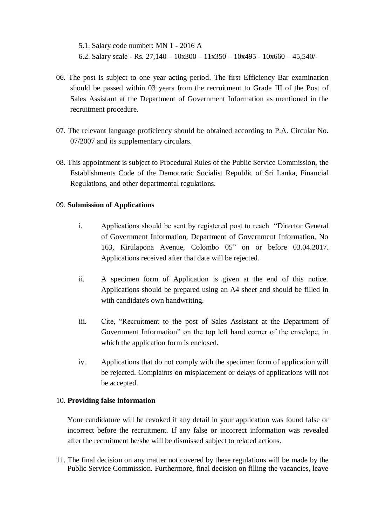5.1. Salary code number: MN 1 - 2016 A 6.2. Salary scale - Rs.  $27,140 - 10x300 - 11x350 - 10x495 - 10x660 - 45,540/$ 

- 06. The post is subject to one year acting period. The first Efficiency Bar examination should be passed within 03 years from the recruitment to Grade III of the Post of Sales Assistant at the Department of Government Information as mentioned in the recruitment procedure.
- 07. The relevant language proficiency should be obtained according to P.A. Circular No. 07/2007 and its supplementary circulars.
- 08. This appointment is subject to Procedural Rules of the Public Service Commission, the Establishments Code of the Democratic Socialist Republic of Sri Lanka, Financial Regulations, and other departmental regulations.

### 09. **Submission of Applications**

- i. Applications should be sent by registered post to reach "Director General of Government Information, Department of Government Information, No 163, Kirulapona Avenue, Colombo 05" on or before 03.04.2017. Applications received after that date will be rejected.
- ii. A specimen form of Application is given at the end of this notice. Applications should be prepared using an A4 sheet and should be filled in with candidate's own handwriting.
- iii. Cite, "Recruitment to the post of Sales Assistant at the Department of Government Information" on the top left hand corner of the envelope, in which the application form is enclosed.
- iv. Applications that do not comply with the specimen form of application will be rejected. Complaints on misplacement or delays of applications will not be accepted.

### 10. **Providing false information**

Your candidature will be revoked if any detail in your application was found false or incorrect before the recruitment. If any false or incorrect information was revealed after the recruitment he/she will be dismissed subject to related actions.

11. The final decision on any matter not covered by these regulations will be made by the Public Service Commission. Furthermore, final decision on filling the vacancies, leave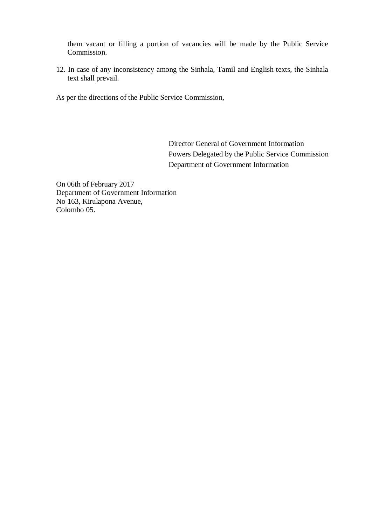them vacant or filling a portion of vacancies will be made by the Public Service Commission.

12. In case of any inconsistency among the Sinhala, Tamil and English texts, the Sinhala text shall prevail.

As per the directions of the Public Service Commission,

Director General of Government Information Powers Delegated by the Public Service Commission Department of Government Information

On 06th of February 2017 Department of Government Information No 163, Kirulapona Avenue, Colombo 05.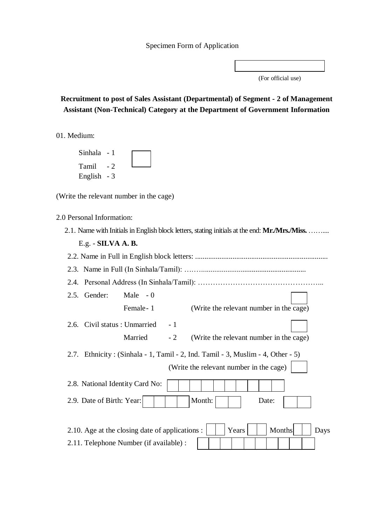(For official use)

# **Recruitment to post of Sales Assistant (Departmental) of Segment - 2 of Management Assistant (Non-Technical) Category at the Department of Government Information**

01. Medium:

| Sinhala - 1 |                          |  |  |
|-------------|--------------------------|--|--|
| Tamil       | $\overline{\phantom{a}}$ |  |  |
| English - 3 |                          |  |  |

(Write the relevant number in the cage)

2.0 Personal Information:

|  |  |  |  |  |  | 2.1. Name with Initials in English block letters, stating initials at the end: Mr./Mrs./Miss. |  |  |  |  |  |  |
|--|--|--|--|--|--|-----------------------------------------------------------------------------------------------|--|--|--|--|--|--|
|--|--|--|--|--|--|-----------------------------------------------------------------------------------------------|--|--|--|--|--|--|

| Gender:<br>Male $-0$<br>2.5.                                                                                               |  |  |  |  |  |
|----------------------------------------------------------------------------------------------------------------------------|--|--|--|--|--|
| Female - 1<br>(Write the relevant number in the cage)                                                                      |  |  |  |  |  |
| 2.6. Civil status : Unmarried<br>$-1$                                                                                      |  |  |  |  |  |
| Married<br>$-2$<br>(Write the relevant number in the cage)                                                                 |  |  |  |  |  |
| 2.7. Ethnicity: (Sinhala - 1, Tamil - 2, Ind. Tamil - 3, Muslim - 4, Other - 5)<br>(Write the relevant number in the cage) |  |  |  |  |  |
| 2.8. National Identity Card No:                                                                                            |  |  |  |  |  |
| Month:<br>2.9. Date of Birth: Year:<br>Date:                                                                               |  |  |  |  |  |
| 2.10. Age at the closing date of applications :<br>Years<br>Months<br>Days                                                 |  |  |  |  |  |
| 2.11. Telephone Number (if available) :                                                                                    |  |  |  |  |  |